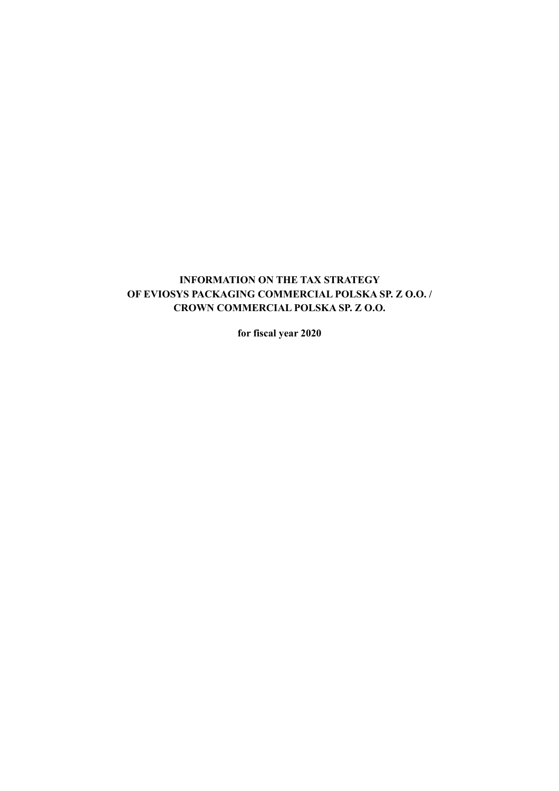# **INFORMATION ON THE TAX STRATEGY OF EVIOSYS PACKAGING COMMERCIAL POLSKA SP. Z O.O. / CROWN COMMERCIAL POLSKA SP. Z O.O.**

**for fiscal year 2020**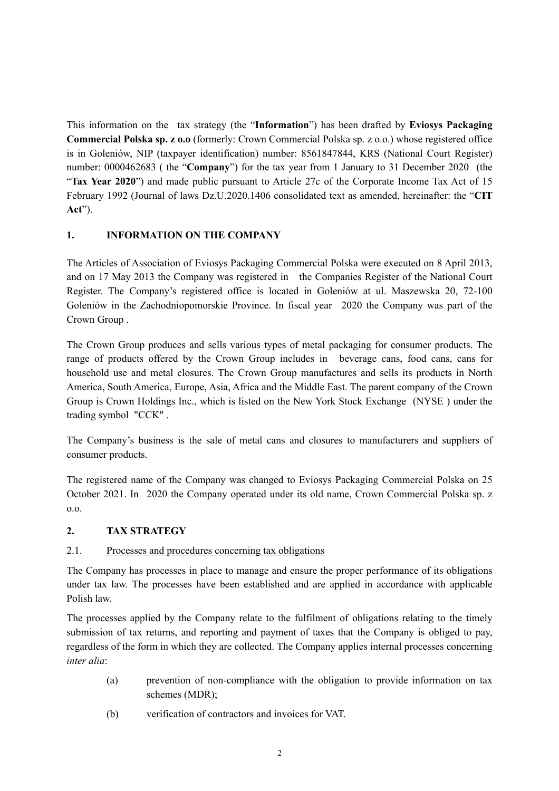This information on the tax strategy (the "**Information**") has been drafted by **Eviosys Packaging Commercial Polska sp. z o.o** (formerly: Crown Commercial Polska sp. z o.o.) whose registered office is in Goleniów, NIP (taxpayer identification) number: 8561847844, KRS (National Court Register) number: 0000462683 ( the "**Company**") for the tax year from 1 January to 31 December 2020 (the "**Tax Year 2020**") and made public pursuant to Article 27c of the Corporate Income Tax Act of 15 February 1992 (Journal of laws Dz.U.2020.1406 consolidated text as amended, hereinafter: the "**CIT Act**").

### **1. INFORMATION ON THE COMPANY**

The Articles of Association of Eviosys Packaging Commercial Polska were executed on 8 April 2013, and on 17 May 2013 the Company was registered in the Companies Register of the National Court Register. The Company's registered office is located in Goleniów at ul. Maszewska 20, 72-100 Goleniów in the Zachodniopomorskie Province. In fiscal year 2020 the Company was part of the Crown Group .

The Crown Group produces and sells various types of metal packaging for consumer products. The range of products offered by the Crown Group includes in beverage cans, food cans, cans for household use and metal closures. The Crown Group manufactures and sells its products in North America, South America, Europe, Asia, Africa and the Middle East. The parent company of the Crown Group is Crown Holdings Inc., which is listed on the New York Stock Exchange (NYSE ) under the trading symbol "CCK" .

The Company's business is the sale of metal cans and closures to manufacturers and suppliers of consumer products.

The registered name of the Company was changed to Eviosys Packaging Commercial Polska on 25 October 2021. In 2020 the Company operated under its old name, Crown Commercial Polska sp. z o.o.

### **2. TAX STRATEGY**

## 2.1. Processes and procedures concerning tax obligations

The Company has processes in place to manage and ensure the proper performance of its obligations under tax law. The processes have been established and are applied in accordance with applicable Polish law.

The processes applied by the Company relate to the fulfilment of obligations relating to the timely submission of tax returns, and reporting and payment of taxes that the Company is obliged to pay, regardless of the form in which they are collected. The Company applies internal processes concerning *inter alia*:

- (a) prevention of non-compliance with the obligation to provide information on tax schemes (MDR);
- (b) verification of contractors and invoices for VAT.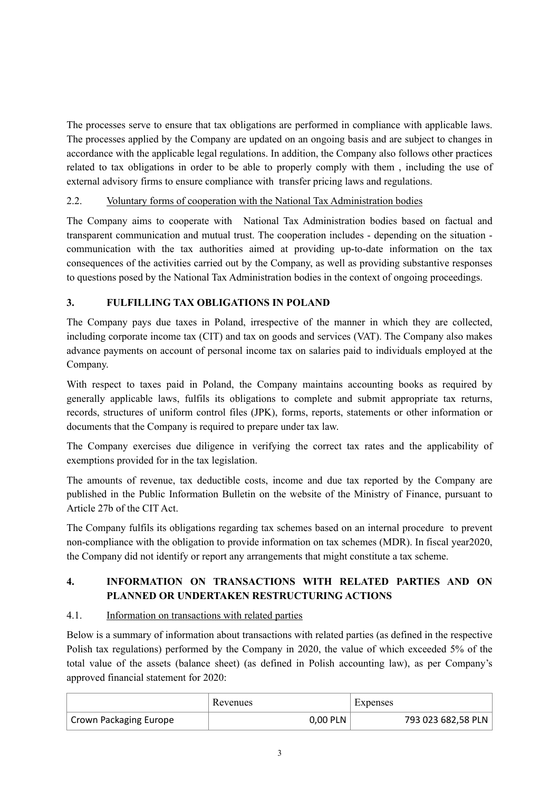The processes serve to ensure that tax obligations are performed in compliance with applicable laws. The processes applied by the Company are updated on an ongoing basis and are subject to changes in accordance with the applicable legal regulations. In addition, the Company also follows other practices related to tax obligations in order to be able to properly comply with them , including the use of external advisory firms to ensure compliance with transfer pricing laws and regulations.

## 2.2. Voluntary forms of cooperation with the National Tax Administration bodies

The Company aims to cooperate with National Tax Administration bodies based on factual and transparent communication and mutual trust. The cooperation includes - depending on the situation communication with the tax authorities aimed at providing up-to-date information on the tax consequences of the activities carried out by the Company, as well as providing substantive responses to questions posed by the National Tax Administration bodies in the context of ongoing proceedings.

## **3. FULFILLING TAX OBLIGATIONS IN POLAND**

The Company pays due taxes in Poland, irrespective of the manner in which they are collected, including corporate income tax (CIT) and tax on goods and services (VAT). The Company also makes advance payments on account of personal income tax on salaries paid to individuals employed at the Company.

With respect to taxes paid in Poland, the Company maintains accounting books as required by generally applicable laws, fulfils its obligations to complete and submit appropriate tax returns, records, structures of uniform control files (JPK), forms, reports, statements or other information or documents that the Company is required to prepare under tax law.

The Company exercises due diligence in verifying the correct tax rates and the applicability of exemptions provided for in the tax legislation.

The amounts of revenue, tax deductible costs, income and due tax reported by the Company are published in the Public Information Bulletin on the website of the Ministry of Finance, pursuant to Article 27b of the CIT Act.

The Company fulfils its obligations regarding tax schemes based on an internal procedure to prevent non-compliance with the obligation to provide information on tax schemes (MDR). In fiscal year2020, the Company did not identify or report any arrangements that might constitute a tax scheme.

## **4. INFORMATION ON TRANSACTIONS WITH RELATED PARTIES AND ON PLANNED OR UNDERTAKEN RESTRUCTURING ACTIONS**

### 4.1. Information on transactions with related parties

Below is a summary of information about transactions with related parties (as defined in the respective Polish tax regulations) performed by the Company in 2020, the value of which exceeded 5% of the total value of the assets (balance sheet) (as defined in Polish accounting law), as per Company's approved financial statement for 2020:

|                        | Revenues | Expenses           |
|------------------------|----------|--------------------|
| Crown Packaging Europe | 0,00 PLN | 793 023 682,58 PLN |